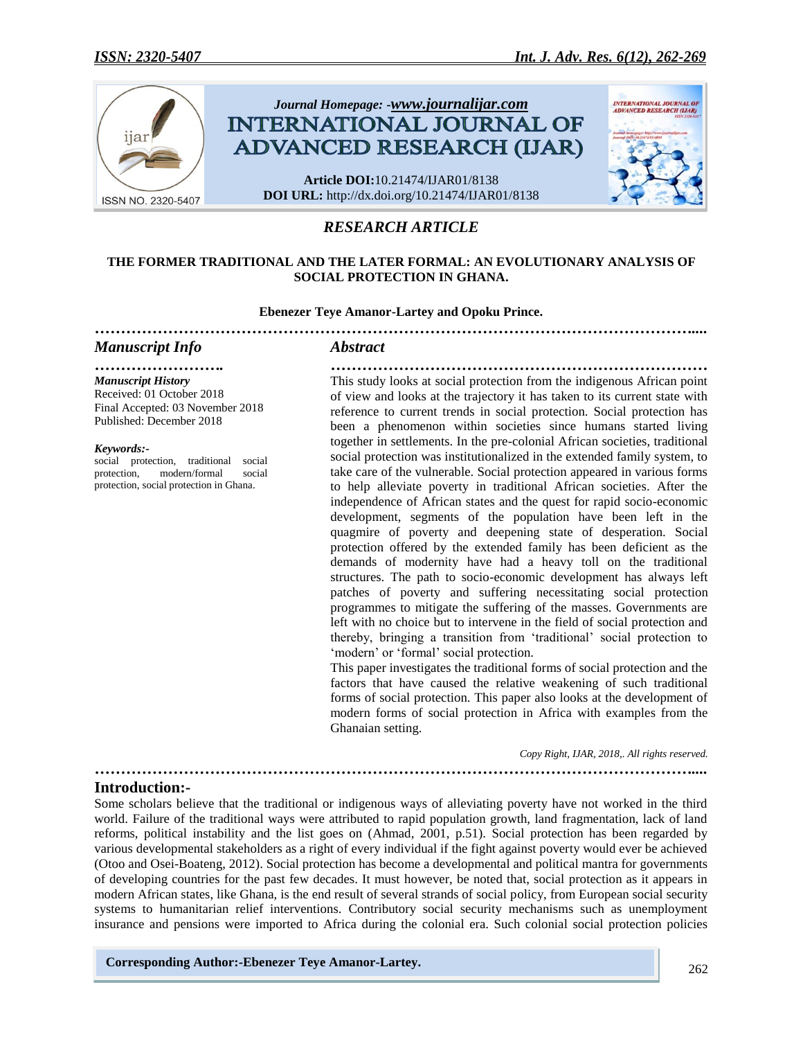

# *RESEARCH ARTICLE*

#### **THE FORMER TRADITIONAL AND THE LATER FORMAL: AN EVOLUTIONARY ANALYSIS OF SOCIAL PROTECTION IN GHANA.**

#### **Ebenezer Teye Amanor-Lartey and Opoku Prince.** *……………………………………………………………………………………………………....*

### *Manuscript Info Abstract*

*……………………. ……………………………………………………………… Manuscript History* Received: 01 October 2018 Final Accepted: 03 November 2018 Published: December 2018

*Keywords:-*

social protection, traditional social protection, modern/formal social protection, social protection in Ghana.

This study looks at social protection from the indigenous African point of view and looks at the trajectory it has taken to its current state with reference to current trends in social protection. Social protection has been a phenomenon within societies since humans started living together in settlements. In the pre-colonial African societies, traditional social protection was institutionalized in the extended family system, to take care of the vulnerable. Social protection appeared in various forms to help alleviate poverty in traditional African societies. After the independence of African states and the quest for rapid socio-economic development, segments of the population have been left in the quagmire of poverty and deepening state of desperation. Social protection offered by the extended family has been deficient as the demands of modernity have had a heavy toll on the traditional structures. The path to socio-economic development has always left patches of poverty and suffering necessitating social protection programmes to mitigate the suffering of the masses. Governments are left with no choice but to intervene in the field of social protection and thereby, bringing a transition from "traditional" social protection to 'modern' or 'formal' social protection.

This paper investigates the traditional forms of social protection and the factors that have caused the relative weakening of such traditional forms of social protection. This paper also looks at the development of modern forms of social protection in Africa with examples from the Ghanaian setting.

 *Copy Right, IJAR, 2018,. All rights reserved.*

### **Introduction:-**

Some scholars believe that the traditional or indigenous ways of alleviating poverty have not worked in the third world. Failure of the traditional ways were attributed to rapid population growth, land fragmentation, lack of land reforms, political instability and the list goes on (Ahmad, 2001, p.51). Social protection has been regarded by various developmental stakeholders as a right of every individual if the fight against poverty would ever be achieved (Otoo and Osei-Boateng, 2012). Social protection has become a developmental and political mantra for governments of developing countries for the past few decades. It must however, be noted that, social protection as it appears in modern African states, like Ghana, is the end result of several strands of social policy, from European social security systems to humanitarian relief interventions. Contributory social security mechanisms such as unemployment insurance and pensions were imported to Africa during the colonial era. Such colonial social protection policies

*……………………………………………………………………………………………………....*

**Corresponding Author:-Ebenezer Teye Amanor-Lartey.**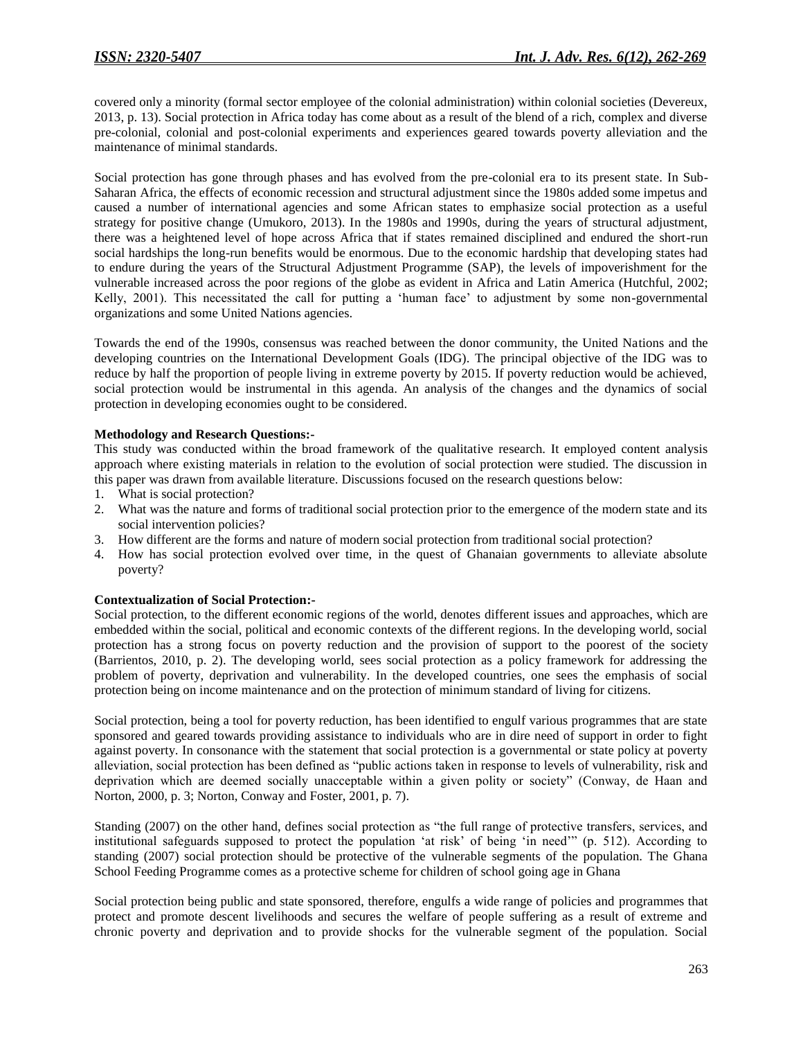covered only a minority (formal sector employee of the colonial administration) within colonial societies (Devereux, 2013, p. 13). Social protection in Africa today has come about as a result of the blend of a rich, complex and diverse pre-colonial, colonial and post-colonial experiments and experiences geared towards poverty alleviation and the maintenance of minimal standards.

Social protection has gone through phases and has evolved from the pre-colonial era to its present state. In Sub-Saharan Africa, the effects of economic recession and structural adjustment since the 1980s added some impetus and caused a number of international agencies and some African states to emphasize social protection as a useful strategy for positive change (Umukoro, 2013). In the 1980s and 1990s, during the years of structural adjustment, there was a heightened level of hope across Africa that if states remained disciplined and endured the short-run social hardships the long-run benefits would be enormous. Due to the economic hardship that developing states had to endure during the years of the Structural Adjustment Programme (SAP), the levels of impoverishment for the vulnerable increased across the poor regions of the globe as evident in Africa and Latin America (Hutchful, 2002; Kelly, 2001). This necessitated the call for putting a "human face" to adjustment by some non-governmental organizations and some United Nations agencies.

Towards the end of the 1990s, consensus was reached between the donor community, the United Nations and the developing countries on the International Development Goals (IDG). The principal objective of the IDG was to reduce by half the proportion of people living in extreme poverty by 2015. If poverty reduction would be achieved, social protection would be instrumental in this agenda. An analysis of the changes and the dynamics of social protection in developing economies ought to be considered.

### **Methodology and Research Questions:-**

This study was conducted within the broad framework of the qualitative research. It employed content analysis approach where existing materials in relation to the evolution of social protection were studied. The discussion in this paper was drawn from available literature. Discussions focused on the research questions below:

- 1. What is social protection?
- 2. What was the nature and forms of traditional social protection prior to the emergence of the modern state and its social intervention policies?
- 3. How different are the forms and nature of modern social protection from traditional social protection?
- 4. How has social protection evolved over time, in the quest of Ghanaian governments to alleviate absolute poverty?

### **Contextualization of Social Protection:-**

Social protection, to the different economic regions of the world, denotes different issues and approaches, which are embedded within the social, political and economic contexts of the different regions. In the developing world, social protection has a strong focus on poverty reduction and the provision of support to the poorest of the society (Barrientos, 2010, p. 2). The developing world, sees social protection as a policy framework for addressing the problem of poverty, deprivation and vulnerability. In the developed countries, one sees the emphasis of social protection being on income maintenance and on the protection of minimum standard of living for citizens.

Social protection, being a tool for poverty reduction, has been identified to engulf various programmes that are state sponsored and geared towards providing assistance to individuals who are in dire need of support in order to fight against poverty. In consonance with the statement that social protection is a governmental or state policy at poverty alleviation, social protection has been defined as "public actions taken in response to levels of vulnerability, risk and deprivation which are deemed socially unacceptable within a given polity or society" (Conway, de Haan and Norton, 2000, p. 3; Norton, Conway and Foster, 2001, p. 7).

Standing (2007) on the other hand, defines social protection as "the full range of protective transfers, services, and institutional safeguards supposed to protect the population "at risk" of being "in need"" (p. 512). According to standing (2007) social protection should be protective of the vulnerable segments of the population. The Ghana School Feeding Programme comes as a protective scheme for children of school going age in Ghana

Social protection being public and state sponsored, therefore, engulfs a wide range of policies and programmes that protect and promote descent livelihoods and secures the welfare of people suffering as a result of extreme and chronic poverty and deprivation and to provide shocks for the vulnerable segment of the population. Social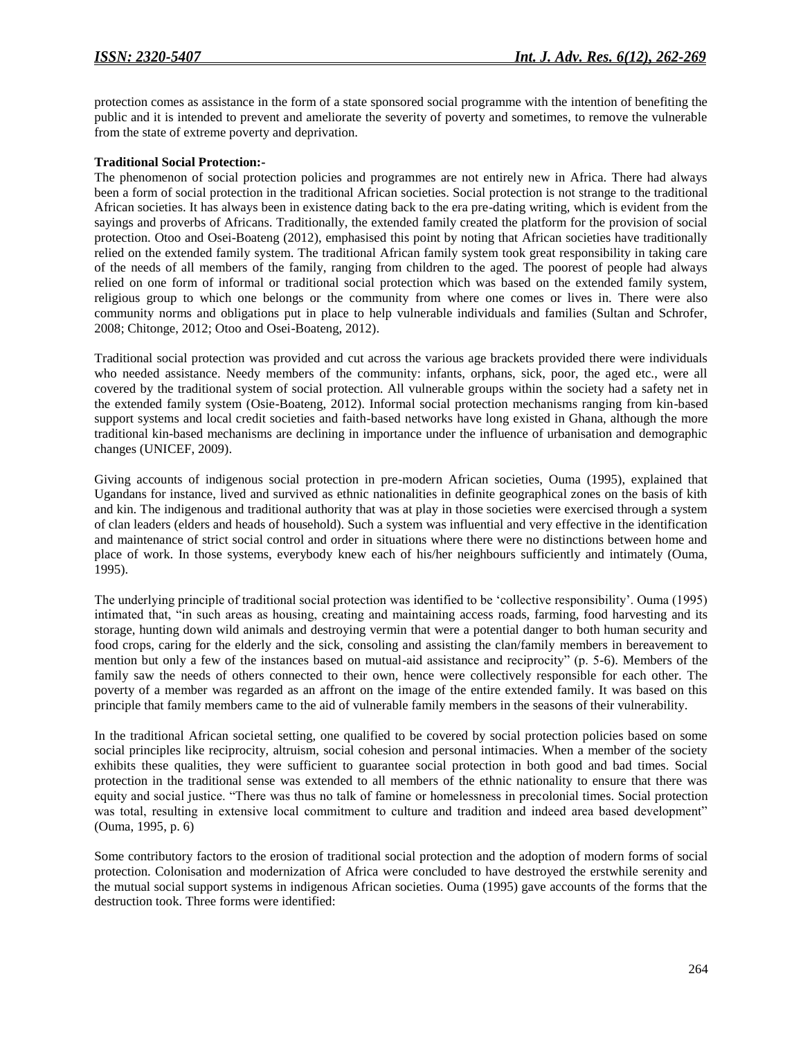protection comes as assistance in the form of a state sponsored social programme with the intention of benefiting the public and it is intended to prevent and ameliorate the severity of poverty and sometimes, to remove the vulnerable from the state of extreme poverty and deprivation.

### **Traditional Social Protection:-**

The phenomenon of social protection policies and programmes are not entirely new in Africa. There had always been a form of social protection in the traditional African societies. Social protection is not strange to the traditional African societies. It has always been in existence dating back to the era pre-dating writing, which is evident from the sayings and proverbs of Africans. Traditionally, the extended family created the platform for the provision of social protection. Otoo and Osei-Boateng (2012), emphasised this point by noting that African societies have traditionally relied on the extended family system. The traditional African family system took great responsibility in taking care of the needs of all members of the family, ranging from children to the aged. The poorest of people had always relied on one form of informal or traditional social protection which was based on the extended family system, religious group to which one belongs or the community from where one comes or lives in. There were also community norms and obligations put in place to help vulnerable individuals and families (Sultan and Schrofer, 2008; Chitonge, 2012; Otoo and Osei-Boateng, 2012).

Traditional social protection was provided and cut across the various age brackets provided there were individuals who needed assistance. Needy members of the community: infants, orphans, sick, poor, the aged etc., were all covered by the traditional system of social protection. All vulnerable groups within the society had a safety net in the extended family system (Osie-Boateng, 2012). Informal social protection mechanisms ranging from kin-based support systems and local credit societies and faith-based networks have long existed in Ghana, although the more traditional kin-based mechanisms are declining in importance under the influence of urbanisation and demographic changes (UNICEF, 2009).

Giving accounts of indigenous social protection in pre-modern African societies, Ouma (1995), explained that Ugandans for instance, lived and survived as ethnic nationalities in definite geographical zones on the basis of kith and kin. The indigenous and traditional authority that was at play in those societies were exercised through a system of clan leaders (elders and heads of household). Such a system was influential and very effective in the identification and maintenance of strict social control and order in situations where there were no distinctions between home and place of work. In those systems, everybody knew each of his/her neighbours sufficiently and intimately (Ouma, 1995).

The underlying principle of traditional social protection was identified to be "collective responsibility". Ouma (1995) intimated that, "in such areas as housing, creating and maintaining access roads, farming, food harvesting and its storage, hunting down wild animals and destroying vermin that were a potential danger to both human security and food crops, caring for the elderly and the sick, consoling and assisting the clan/family members in bereavement to mention but only a few of the instances based on mutual-aid assistance and reciprocity" (p. 5-6). Members of the family saw the needs of others connected to their own, hence were collectively responsible for each other. The poverty of a member was regarded as an affront on the image of the entire extended family. It was based on this principle that family members came to the aid of vulnerable family members in the seasons of their vulnerability.

In the traditional African societal setting, one qualified to be covered by social protection policies based on some social principles like reciprocity, altruism, social cohesion and personal intimacies. When a member of the society exhibits these qualities, they were sufficient to guarantee social protection in both good and bad times. Social protection in the traditional sense was extended to all members of the ethnic nationality to ensure that there was equity and social justice. "There was thus no talk of famine or homelessness in precolonial times. Social protection was total, resulting in extensive local commitment to culture and tradition and indeed area based development" (Ouma, 1995, p. 6)

Some contributory factors to the erosion of traditional social protection and the adoption of modern forms of social protection. Colonisation and modernization of Africa were concluded to have destroyed the erstwhile serenity and the mutual social support systems in indigenous African societies. Ouma (1995) gave accounts of the forms that the destruction took. Three forms were identified: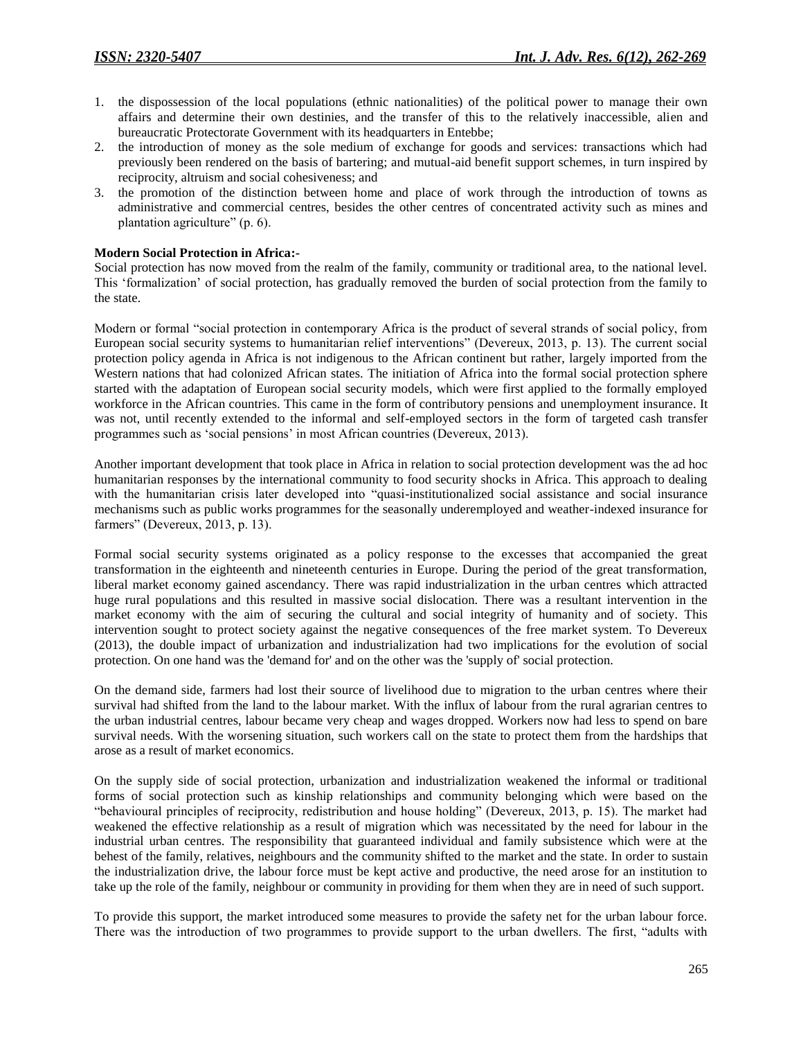- 1. the dispossession of the local populations (ethnic nationalities) of the political power to manage their own affairs and determine their own destinies, and the transfer of this to the relatively inaccessible, alien and bureaucratic Protectorate Government with its headquarters in Entebbe;
- 2. the introduction of money as the sole medium of exchange for goods and services: transactions which had previously been rendered on the basis of bartering; and mutual-aid benefit support schemes, in turn inspired by reciprocity, altruism and social cohesiveness; and
- 3. the promotion of the distinction between home and place of work through the introduction of towns as administrative and commercial centres, besides the other centres of concentrated activity such as mines and plantation agriculture" (p. 6).

#### **Modern Social Protection in Africa:-**

Social protection has now moved from the realm of the family, community or traditional area, to the national level. This "formalization" of social protection, has gradually removed the burden of social protection from the family to the state.

Modern or formal "social protection in contemporary Africa is the product of several strands of social policy, from European social security systems to humanitarian relief interventions" (Devereux, 2013, p. 13). The current social protection policy agenda in Africa is not indigenous to the African continent but rather, largely imported from the Western nations that had colonized African states. The initiation of Africa into the formal social protection sphere started with the adaptation of European social security models, which were first applied to the formally employed workforce in the African countries. This came in the form of contributory pensions and unemployment insurance. It was not, until recently extended to the informal and self-employed sectors in the form of targeted cash transfer programmes such as "social pensions" in most African countries (Devereux, 2013).

Another important development that took place in Africa in relation to social protection development was the ad hoc humanitarian responses by the international community to food security shocks in Africa. This approach to dealing with the humanitarian crisis later developed into "quasi-institutionalized social assistance and social insurance mechanisms such as public works programmes for the seasonally underemployed and weather-indexed insurance for farmers" (Devereux, 2013, p. 13).

Formal social security systems originated as a policy response to the excesses that accompanied the great transformation in the eighteenth and nineteenth centuries in Europe. During the period of the great transformation, liberal market economy gained ascendancy. There was rapid industrialization in the urban centres which attracted huge rural populations and this resulted in massive social dislocation. There was a resultant intervention in the market economy with the aim of securing the cultural and social integrity of humanity and of society. This intervention sought to protect society against the negative consequences of the free market system. To Devereux (2013), the double impact of urbanization and industrialization had two implications for the evolution of social protection. On one hand was the 'demand for' and on the other was the 'supply of' social protection.

On the demand side, farmers had lost their source of livelihood due to migration to the urban centres where their survival had shifted from the land to the labour market. With the influx of labour from the rural agrarian centres to the urban industrial centres, labour became very cheap and wages dropped. Workers now had less to spend on bare survival needs. With the worsening situation, such workers call on the state to protect them from the hardships that arose as a result of market economics.

On the supply side of social protection, urbanization and industrialization weakened the informal or traditional forms of social protection such as kinship relationships and community belonging which were based on the "behavioural principles of reciprocity, redistribution and house holding" (Devereux, 2013, p. 15). The market had weakened the effective relationship as a result of migration which was necessitated by the need for labour in the industrial urban centres. The responsibility that guaranteed individual and family subsistence which were at the behest of the family, relatives, neighbours and the community shifted to the market and the state. In order to sustain the industrialization drive, the labour force must be kept active and productive, the need arose for an institution to take up the role of the family, neighbour or community in providing for them when they are in need of such support.

To provide this support, the market introduced some measures to provide the safety net for the urban labour force. There was the introduction of two programmes to provide support to the urban dwellers. The first, "adults with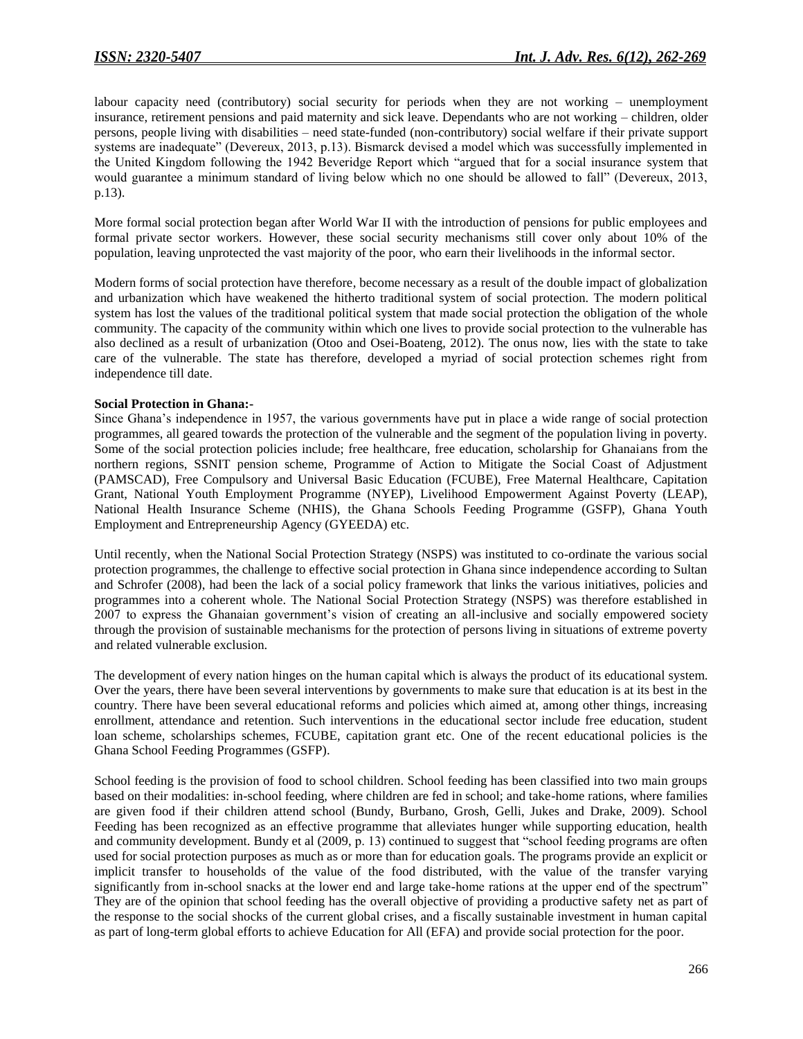labour capacity need (contributory) social security for periods when they are not working – unemployment insurance, retirement pensions and paid maternity and sick leave. Dependants who are not working – children, older persons, people living with disabilities – need state-funded (non-contributory) social welfare if their private support systems are inadequate" (Devereux, 2013, p.13). Bismarck devised a model which was successfully implemented in the United Kingdom following the 1942 Beveridge Report which "argued that for a social insurance system that would guarantee a minimum standard of living below which no one should be allowed to fall" (Devereux, 2013, p.13).

More formal social protection began after World War II with the introduction of pensions for public employees and formal private sector workers. However, these social security mechanisms still cover only about 10% of the population, leaving unprotected the vast majority of the poor, who earn their livelihoods in the informal sector.

Modern forms of social protection have therefore, become necessary as a result of the double impact of globalization and urbanization which have weakened the hitherto traditional system of social protection. The modern political system has lost the values of the traditional political system that made social protection the obligation of the whole community. The capacity of the community within which one lives to provide social protection to the vulnerable has also declined as a result of urbanization (Otoo and Osei-Boateng, 2012). The onus now, lies with the state to take care of the vulnerable. The state has therefore, developed a myriad of social protection schemes right from independence till date.

### **Social Protection in Ghana:-**

Since Ghana"s independence in 1957, the various governments have put in place a wide range of social protection programmes, all geared towards the protection of the vulnerable and the segment of the population living in poverty. Some of the social protection policies include; free healthcare, free education, scholarship for Ghanaians from the northern regions, SSNIT pension scheme, Programme of Action to Mitigate the Social Coast of Adjustment (PAMSCAD), Free Compulsory and Universal Basic Education (FCUBE), Free Maternal Healthcare, Capitation Grant, National Youth Employment Programme (NYEP), Livelihood Empowerment Against Poverty (LEAP), National Health Insurance Scheme (NHIS), the Ghana Schools Feeding Programme (GSFP), Ghana Youth Employment and Entrepreneurship Agency (GYEEDA) etc.

Until recently, when the National Social Protection Strategy (NSPS) was instituted to co-ordinate the various social protection programmes, the challenge to effective social protection in Ghana since independence according to Sultan and Schrofer (2008), had been the lack of a social policy framework that links the various initiatives, policies and programmes into a coherent whole. The National Social Protection Strategy (NSPS) was therefore established in 2007 to express the Ghanaian government"s vision of creating an all-inclusive and socially empowered society through the provision of sustainable mechanisms for the protection of persons living in situations of extreme poverty and related vulnerable exclusion.

The development of every nation hinges on the human capital which is always the product of its educational system. Over the years, there have been several interventions by governments to make sure that education is at its best in the country. There have been several educational reforms and policies which aimed at, among other things, increasing enrollment, attendance and retention. Such interventions in the educational sector include free education, student loan scheme, scholarships schemes, FCUBE, capitation grant etc. One of the recent educational policies is the Ghana School Feeding Programmes (GSFP).

School feeding is the provision of food to school children. School feeding has been classified into two main groups based on their modalities: in-school feeding, where children are fed in school; and take-home rations, where families are given food if their children attend school (Bundy, Burbano, Grosh, Gelli, Jukes and Drake, 2009). School Feeding has been recognized as an effective programme that alleviates hunger while supporting education, health and community development. Bundy et al (2009, p. 13) continued to suggest that "school feeding programs are often used for social protection purposes as much as or more than for education goals. The programs provide an explicit or implicit transfer to households of the value of the food distributed, with the value of the transfer varying significantly from in-school snacks at the lower end and large take-home rations at the upper end of the spectrum" They are of the opinion that school feeding has the overall objective of providing a productive safety net as part of the response to the social shocks of the current global crises, and a fiscally sustainable investment in human capital as part of long-term global efforts to achieve Education for All (EFA) and provide social protection for the poor.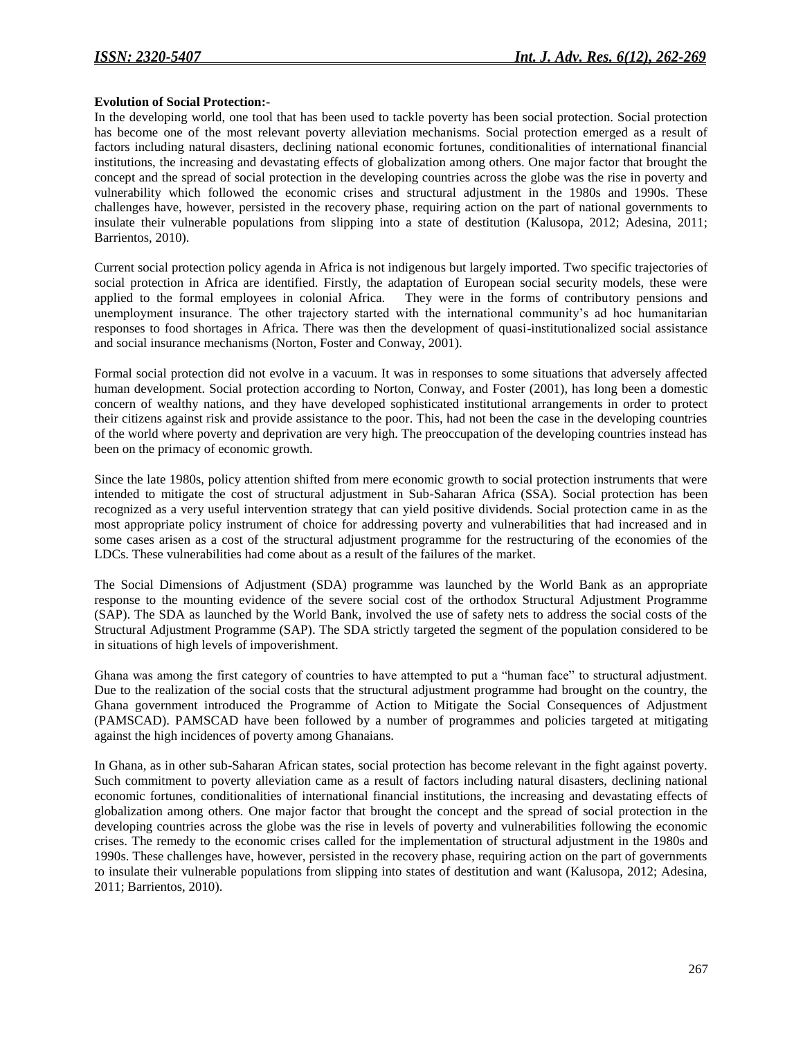#### **Evolution of Social Protection:-**

In the developing world, one tool that has been used to tackle poverty has been social protection. Social protection has become one of the most relevant poverty alleviation mechanisms. Social protection emerged as a result of factors including natural disasters, declining national economic fortunes, conditionalities of international financial institutions, the increasing and devastating effects of globalization among others. One major factor that brought the concept and the spread of social protection in the developing countries across the globe was the rise in poverty and vulnerability which followed the economic crises and structural adjustment in the 1980s and 1990s. These challenges have, however, persisted in the recovery phase, requiring action on the part of national governments to insulate their vulnerable populations from slipping into a state of destitution (Kalusopa, 2012; Adesina, 2011; Barrientos, 2010).

Current social protection policy agenda in Africa is not indigenous but largely imported. Two specific trajectories of social protection in Africa are identified. Firstly, the adaptation of European social security models, these were applied to the formal employees in colonial Africa. They were in the forms of contributory pensions and unemployment insurance. The other trajectory started with the international community"s ad hoc humanitarian responses to food shortages in Africa. There was then the development of quasi-institutionalized social assistance and social insurance mechanisms (Norton, Foster and Conway, 2001).

Formal social protection did not evolve in a vacuum. It was in responses to some situations that adversely affected human development. Social protection according to Norton, Conway, and Foster (2001), has long been a domestic concern of wealthy nations, and they have developed sophisticated institutional arrangements in order to protect their citizens against risk and provide assistance to the poor. This, had not been the case in the developing countries of the world where poverty and deprivation are very high. The preoccupation of the developing countries instead has been on the primacy of economic growth.

Since the late 1980s, policy attention shifted from mere economic growth to social protection instruments that were intended to mitigate the cost of structural adjustment in Sub-Saharan Africa (SSA). Social protection has been recognized as a very useful intervention strategy that can yield positive dividends. Social protection came in as the most appropriate policy instrument of choice for addressing poverty and vulnerabilities that had increased and in some cases arisen as a cost of the structural adjustment programme for the restructuring of the economies of the LDCs. These vulnerabilities had come about as a result of the failures of the market.

The Social Dimensions of Adjustment (SDA) programme was launched by the World Bank as an appropriate response to the mounting evidence of the severe social cost of the orthodox Structural Adjustment Programme (SAP). The SDA as launched by the World Bank, involved the use of safety nets to address the social costs of the Structural Adjustment Programme (SAP). The SDA strictly targeted the segment of the population considered to be in situations of high levels of impoverishment.

Ghana was among the first category of countries to have attempted to put a "human face" to structural adjustment. Due to the realization of the social costs that the structural adjustment programme had brought on the country, the Ghana government introduced the Programme of Action to Mitigate the Social Consequences of Adjustment (PAMSCAD). PAMSCAD have been followed by a number of programmes and policies targeted at mitigating against the high incidences of poverty among Ghanaians.

In Ghana, as in other sub-Saharan African states, social protection has become relevant in the fight against poverty. Such commitment to poverty alleviation came as a result of factors including natural disasters, declining national economic fortunes, conditionalities of international financial institutions, the increasing and devastating effects of globalization among others. One major factor that brought the concept and the spread of social protection in the developing countries across the globe was the rise in levels of poverty and vulnerabilities following the economic crises. The remedy to the economic crises called for the implementation of structural adjustment in the 1980s and 1990s. These challenges have, however, persisted in the recovery phase, requiring action on the part of governments to insulate their vulnerable populations from slipping into states of destitution and want (Kalusopa, 2012; Adesina, 2011; Barrientos, 2010).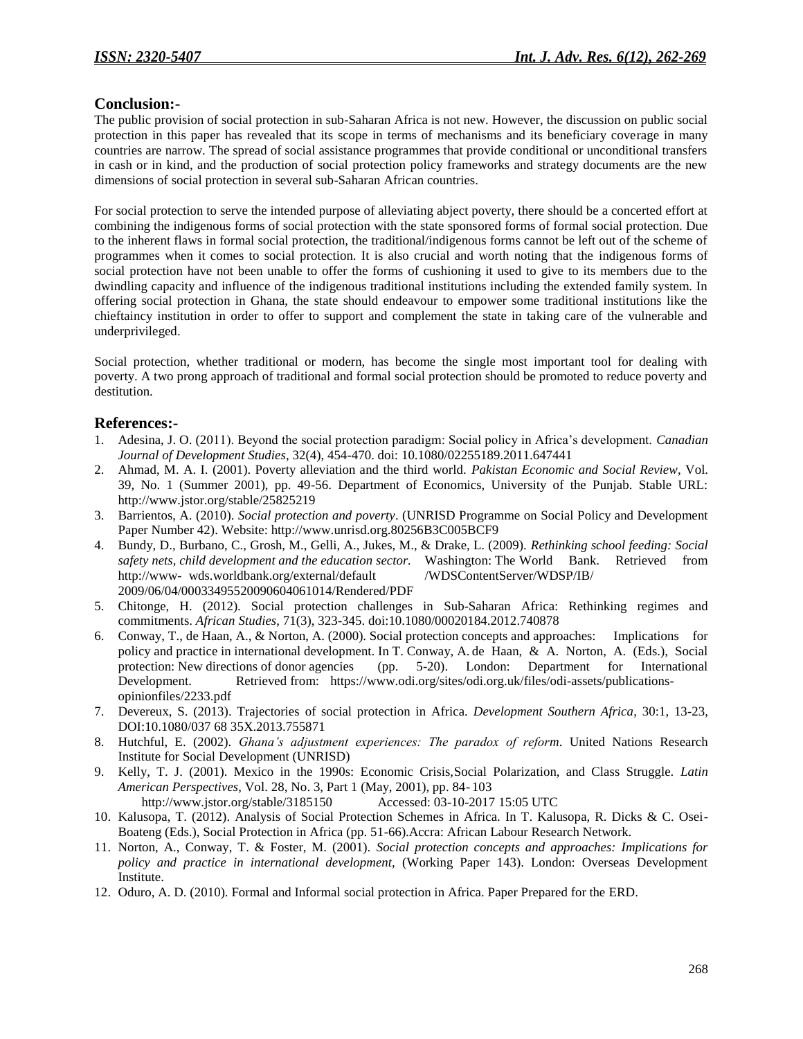# **Conclusion:-**

The public provision of social protection in sub-Saharan Africa is not new. However, the discussion on public social protection in this paper has revealed that its scope in terms of mechanisms and its beneficiary coverage in many countries are narrow. The spread of social assistance programmes that provide conditional or unconditional transfers in cash or in kind, and the production of social protection policy frameworks and strategy documents are the new dimensions of social protection in several sub-Saharan African countries.

For social protection to serve the intended purpose of alleviating abject poverty, there should be a concerted effort at combining the indigenous forms of social protection with the state sponsored forms of formal social protection. Due to the inherent flaws in formal social protection, the traditional/indigenous forms cannot be left out of the scheme of programmes when it comes to social protection. It is also crucial and worth noting that the indigenous forms of social protection have not been unable to offer the forms of cushioning it used to give to its members due to the dwindling capacity and influence of the indigenous traditional institutions including the extended family system. In offering social protection in Ghana, the state should endeavour to empower some traditional institutions like the chieftaincy institution in order to offer to support and complement the state in taking care of the vulnerable and underprivileged.

Social protection, whether traditional or modern, has become the single most important tool for dealing with poverty. A two prong approach of traditional and formal social protection should be promoted to reduce poverty and destitution.

# **References:-**

- 1. Adesina, J. O. (2011). Beyond the social protection paradigm: Social policy in Africa"s development. *Canadian Journal of Development Studies*, 32(4), 454-470. doi: 10.1080/02255189.2011.647441
- 2. Ahmad, M. A. I. (2001). Poverty alleviation and the third world. *Pakistan Economic and Social Review*, Vol. 39, No. 1 (Summer 2001), pp. 49-56. Department of Economics, University of the Punjab. Stable URL: http://www.jstor.org/stable/25825219
- 3. Barrientos, A. (2010). *Social protection and poverty*. (UNRISD Programme on Social Policy and Development Paper Number 42). Website: http://www.unrisd.org.80256B3C005BCF9
- 4. Bundy, D., Burbano, C., Grosh, M., Gelli, A., Jukes, M., & Drake, L. (2009). *Rethinking school feeding: Social safety nets, child development and the education sector.* Washington: The World Bank. Retrieved from http://www- wds.worldbank.org/external/default /WDSContentServer/WDSP/IB/ 2009/06/04/00033495520090604061014/Rendered/PDF
- 5. Chitonge, H. (2012). Social protection challenges in Sub-Saharan Africa: Rethinking regimes and commitments. *African Studies*, 71(3), 323-345. doi:10.1080/00020184.2012.740878
- 6. Conway, T., de Haan, A., & Norton, A. (2000). Social protection concepts and approaches: Implications for policy and practice in international development. In T. Conway, A. de Haan, & A. Norton, A. (Eds.), Social protection: New directions of donor agencies (pp. 5-20). London: Department for International Development. Retrieved from: https://www.odi.org/sites/odi.org.uk/files/odi-assets/publicationsopinionfiles/2233.pdf
- 7. Devereux, S. (2013). Trajectories of social protection in Africa. *Development Southern Africa*, 30:1, 13-23, DOI:10.1080/037 68 35X.2013.755871
- 8. Hutchful, E. (2002). *Ghana's adjustment experiences: The paradox of reform*. United Nations Research Institute for Social Development (UNRISD)
- 9. Kelly, T. J. (2001). Mexico in the 1990s: Economic Crisis,Social Polarization, and Class Struggle. *Latin American Perspectives*, Vol. 28, No. 3, Part 1 (May, 2001), pp. 84- 103 http://www.jstor.org/stable/3185150 Accessed: 03-10-2017 15:05 UTC
- 10. Kalusopa, T. (2012). Analysis of Social Protection Schemes in Africa. In T. Kalusopa, R. Dicks & C. Osei-Boateng (Eds.), Social Protection in Africa (pp. 51-66).Accra: African Labour Research Network.
- 11. Norton, A., Conway, T. & Foster, M. (2001). *Social protection concepts and approaches: Implications for policy and practice in international development,* (Working Paper 143). London: Overseas Development Institute.
- 12. Oduro, A. D. (2010). Formal and Informal social protection in Africa. Paper Prepared for the ERD.